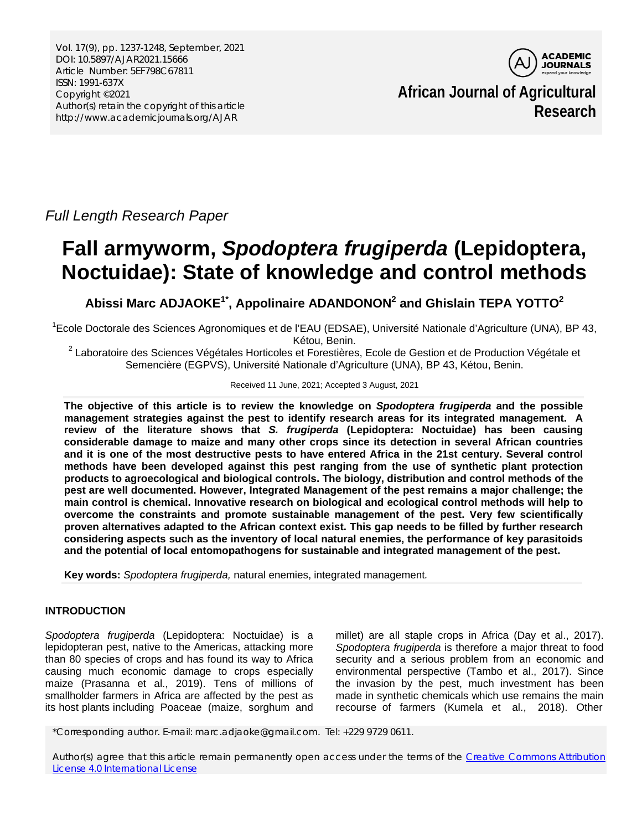Vol. 17(9), pp. 1237-1248, September, 2021 DOI: 10.5897/AJAR2021.15666 Article Number: 5EF798C67811 ISSN: 1991-637X Copyright ©2021 Author(s) retain the copyright of this article http://www.academicjournals.org/AJAR



**African Journal of Agricultural Research**

*Full Length Research Paper*

# **Fall armyworm,** *Spodoptera frugiperda* **(Lepidoptera, Noctuidae): State of knowledge and control methods**

**Abissi Marc ADJAOKE1\* , Appolinaire ADANDONON2 and Ghislain TEPA YOTTO<sup>2</sup>**

<sup>1</sup>Ecole Doctorale des Sciences Agronomiques et de l'EAU (EDSAE), Université Nationale d'Agriculture (UNA), BP 43, Kétou, Benin.<br><sup>2</sup> Laboratoire des Sciences Végétales Horticoles et Forestières, Ecole de Gestion et de Production Végétale et

Semencière (EGPVS), Université Nationale d'Agriculture (UNA), BP 43, Kétou, Benin.

### Received 11 June, 2021; Accepted 3 August, 2021

**The objective of this article is to review the knowledge on** *Spodoptera frugiperda* **and the possible management strategies against the pest to identify research areas for its integrated management. A review of the literature shows that** *S. frugiperda* **(Lepidoptera: Noctuidae) has been causing considerable damage to maize and many other crops since its detection in several African countries and it is one of the most destructive pests to have entered Africa in the 21st century. Several control methods have been developed against this pest ranging from the use of synthetic plant protection products to agroecological and biological controls. The biology, distribution and control methods of the pest are well documented. However, Integrated Management of the pest remains a major challenge; the main control is chemical. Innovative research on biological and ecological control methods will help to overcome the constraints and promote sustainable management of the pest. Very few scientifically proven alternatives adapted to the African context exist. This gap needs to be filled by further research considering aspects such as the inventory of local natural enemies, the performance of key parasitoids and the potential of local entomopathogens for sustainable and integrated management of the pest.** 

**Key words:** *Spodoptera frugiperda,* natural enemies, integrated management*.* 

## **INTRODUCTION**

*Spodoptera frugiperda* (Lepidoptera: Noctuidae) is a lepidopteran pest, native to the Americas, attacking more than 80 species of crops and has found its way to Africa causing much economic damage to crops especially maize (Prasanna et al., 2019). Tens of millions of smallholder farmers in Africa are affected by the pest as its host plants including Poaceae (maize, sorghum and millet) are all staple crops in Africa (Day et al., 2017). *Spodoptera frugiperda* is therefore a major threat to food security and a serious problem from an economic and environmental perspective (Tambo et al., 2017). Since the invasion by the pest, much investment has been made in synthetic chemicals which use remains the main recourse of farmers (Kumela et al., 2018). Other

\*Corresponding author. E-mail: marc.adjaoke@gmail.com. Tel: +229 9729 0611.

Author(s) agree that this article remain permanently open access under the terms of the Creative Commons Attribution [License 4.0 International License](http://creativecommons.org/licenses/by/4.0/deed.en_US)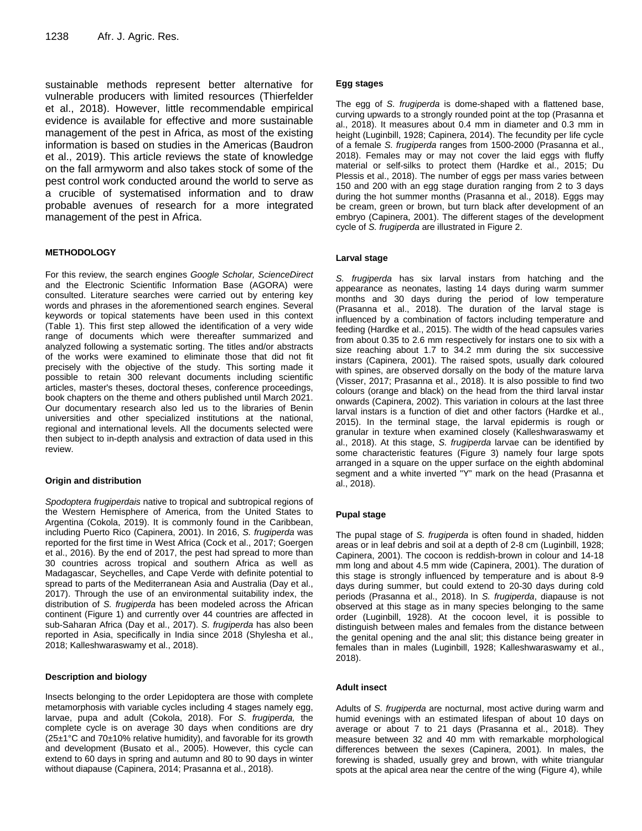sustainable methods represent better alternative for vulnerable producers with limited resources (Thierfelder et al., 2018). However, little recommendable empirical evidence is available for effective and more sustainable management of the pest in Africa, as most of the existing information is based on studies in the Americas (Baudron et al., 2019). This article reviews the state of knowledge on the fall armyworm and also takes stock of some of the pest control work conducted around the world to serve as a crucible of systematised information and to draw probable avenues of research for a more integrated management of the pest in Africa.

#### **METHODOLOGY**

For this review, the search engines *Google Scholar, ScienceDirect* and the Electronic Scientific Information Base (AGORA) were consulted. Literature searches were carried out by entering key words and phrases in the aforementioned search engines. Several keywords or topical statements have been used in this context (Table 1). This first step allowed the identification of a very wide range of documents which were thereafter summarized and analyzed following a systematic sorting. The titles and/or abstracts of the works were examined to eliminate those that did not fit precisely with the objective of the study. This sorting made it possible to retain 300 relevant documents including scientific articles, master's theses, doctoral theses, conference proceedings, book chapters on the theme and others published until March 2021. Our documentary research also led us to the libraries of Benin universities and other specialized institutions at the national, regional and international levels. All the documents selected were then subject to in-depth analysis and extraction of data used in this review.

#### **Origin and distribution**

*Spodoptera frugiperdais* native to tropical and subtropical regions of the Western Hemisphere of America, from the United States to Argentina (Cokola, 2019). It is commonly found in the Caribbean, including Puerto Rico (Capinera, 2001). In 2016, *S. frugiperda* was reported for the first time in West Africa (Cock et al., 2017; Goergen et al., 2016). By the end of 2017, the pest had spread to more than 30 countries across tropical and southern Africa as well as Madagascar, Seychelles, and Cape Verde with definite potential to spread to parts of the Mediterranean Asia and Australia (Day et al., 2017). Through the use of an environmental suitability index, the distribution of *S. frugiperda* has been modeled across the African continent (Figure 1) and currently over 44 countries are affected in sub-Saharan Africa (Day et al., 2017). *S. frugiperda* has also been reported in Asia, specifically in India since 2018 (Shylesha et al., 2018; Kalleshwaraswamy et al., 2018).

#### **Description and biology**

Insects belonging to the order Lepidoptera are those with complete metamorphosis with variable cycles including 4 stages namely egg, larvae, pupa and adult (Cokola, 2018). For *S. frugiperda,* the complete cycle is on average 30 days when conditions are dry (25±1°C and 70±10% relative humidity), and favorable for its growth and development (Busato et al., 2005). However, this cycle can extend to 60 days in spring and autumn and 80 to 90 days in winter without diapause (Capinera, 2014; Prasanna et al., 2018).

#### **Egg stages**

The egg of *S. frugiperda* is dome-shaped with a flattened base, curving upwards to a strongly rounded point at the top (Prasanna et al., 2018). It measures about 0.4 mm in diameter and 0.3 mm in height (Luginbill, 1928; Capinera, 2014). The fecundity per life cycle of a female *S. frugiperda* ranges from 1500-2000 (Prasanna et al., 2018). Females may or may not cover the laid eggs with fluffy material or self-silks to protect them (Hardke et al., 2015; Du Plessis et al., 2018). The number of eggs per mass varies between 150 and 200 with an egg stage duration ranging from 2 to 3 days during the hot summer months (Prasanna et al., 2018). Eggs may be cream, green or brown, but turn black after development of an embryo (Capinera, 2001). The different stages of the development cycle of *S. frugiperda* are illustrated in Figure 2.

#### **Larval stage**

*S. frugiperda* has six larval instars from hatching and the appearance as neonates, lasting 14 days during warm summer months and 30 days during the period of low temperature (Prasanna et al., 2018). The duration of the larval stage is influenced by a combination of factors including temperature and feeding (Hardke et al., 2015). The width of the head capsules varies from about 0.35 to 2.6 mm respectively for instars one to six with a size reaching about 1.7 to 34.2 mm during the six successive instars (Capinera, 2001). The raised spots, usually dark coloured with spines, are observed dorsally on the body of the mature larva (Visser, 2017; Prasanna et al., 2018). It is also possible to find two colours (orange and black) on the head from the third larval instar onwards (Capinera, 2002). This variation in colours at the last three larval instars is a function of diet and other factors (Hardke et al., 2015). In the terminal stage, the larval epidermis is rough or granular in texture when examined closely (Kalleshwaraswamy et al., 2018). At this stage, *S. frugiperda* larvae can be identified by some characteristic features (Figure 3) namely four large spots arranged in a square on the upper surface on the eighth abdominal segment and a white inverted "Y" mark on the head (Prasanna et al., 2018).

#### **Pupal stage**

The pupal stage of *S. frugiperda* is often found in shaded, hidden areas or in leaf debris and soil at a depth of 2-8 cm (Luginbill, 1928; Capinera, 2001). The cocoon is reddish-brown in colour and 14-18 mm long and about 4.5 mm wide (Capinera, 2001). The duration of this stage is strongly influenced by temperature and is about 8-9 days during summer, but could extend to 20-30 days during cold periods (Prasanna et al., 2018). In *S. frugiperda*, diapause is not observed at this stage as in many species belonging to the same order (Luginbill, 1928). At the cocoon level, it is possible to distinguish between males and females from the distance between the genital opening and the anal slit; this distance being greater in females than in males (Luginbill, 1928; Kalleshwaraswamy et al., 2018).

#### **Adult insect**

Adults of *S. frugiperda* are nocturnal, most active during warm and humid evenings with an estimated lifespan of about 10 days on average or about 7 to 21 days (Prasanna et al., 2018). They measure between 32 and 40 mm with remarkable morphological differences between the sexes (Capinera, 2001)*.* In males, the forewing is shaded, usually grey and brown, with white triangular spots at the apical area near the centre of the wing (Figure 4), while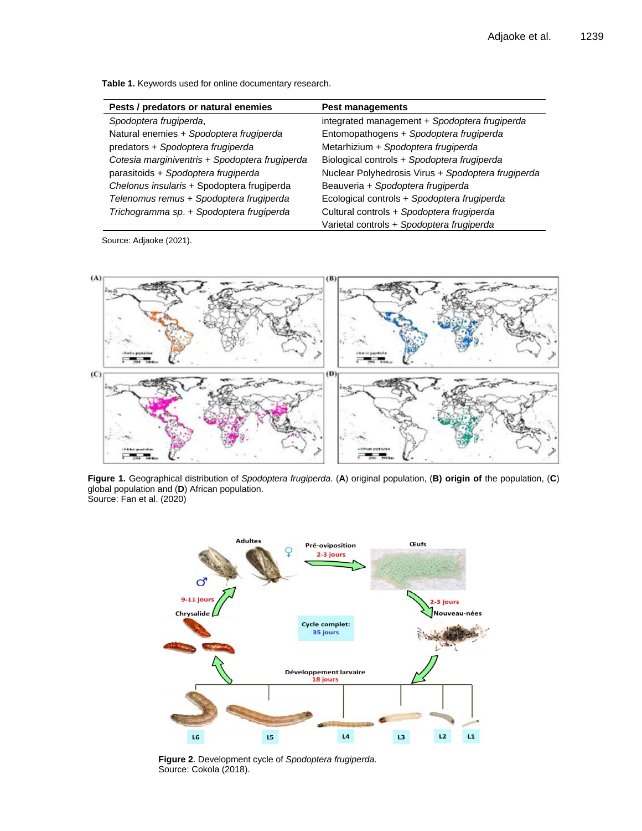**Table 1.** Keywords used for online documentary research.

| Pests / predators or natural enemies           | <b>Pest managements</b>                            |
|------------------------------------------------|----------------------------------------------------|
| Spodoptera frugiperda,                         | integrated management + Spodoptera frugiperda      |
| Natural enemies + Spodoptera frugiperda        | Entomopathogens + Spodoptera frugiperda            |
| predators + Spodoptera frugiperda              | Metarhizium + Spodoptera frugiperda                |
| Cotesia marginiventris + Spodoptera frugiperda | Biological controls + Spodoptera frugiperda        |
| parasitoids + Spodoptera frugiperda            | Nuclear Polyhedrosis Virus + Spodoptera frugiperda |
| Chelonus insularis + Spodoptera frugiperda     | Beauveria + Spodoptera frugiperda                  |
| Telenomus remus + Spodoptera frugiperda        | Ecological controls + Spodoptera frugiperda        |
| Trichogramma sp. + Spodoptera frugiperda       | Cultural controls + Spodoptera frugiperda          |
|                                                | Varietal controls + Spodoptera frugiperda          |

Source: Adjaoke (2021).



**Figure 1.** Geographical distribution of *Spodoptera frugiperda*. (**A**) original population, (**B) origin of** the population, (**C**) global population and (**D**) African population. Source: Fan et al. (2020)



**Figure 2**. Development cycle of *Spodoptera frugiperda.* Source: Cokola (2018).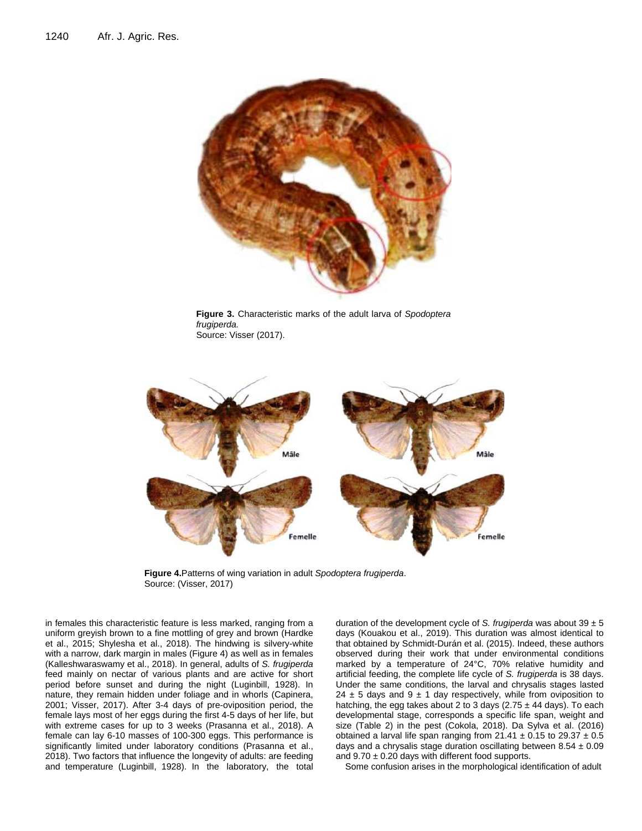

**Figure 3.** Characteristic marks of the adult larva of *Spodoptera frugiperda.* Source: Visser (2017).



**Figure 4.**Patterns of wing variation in adult *Spodoptera frugiperda*. Source: (Visser, 2017)

in females this characteristic feature is less marked, ranging from a uniform greyish brown to a fine mottling of grey and brown (Hardke et al., 2015; Shylesha et al., 2018). The hindwing is silvery-white with a narrow, dark margin in males (Figure 4) as well as in females (Kalleshwaraswamy et al., 2018). In general, adults of *S. frugiperda*  feed mainly on nectar of various plants and are active for short period before sunset and during the night (Luginbill, 1928). In nature, they remain hidden under foliage and in whorls (Capinera, 2001; Visser, 2017). After 3-4 days of pre-oviposition period, the female lays most of her eggs during the first 4-5 days of her life, but with extreme cases for up to 3 weeks (Prasanna et al., 2018). A female can lay 6-10 masses of 100-300 eggs. This performance is significantly limited under laboratory conditions (Prasanna et al., 2018). Two factors that influence the longevity of adults: are feeding and temperature (Luginbill, 1928). In the laboratory, the total

duration of the development cycle of *S. frugiperda* was about 39 ± 5 days (Kouakou et al., 2019). This duration was almost identical to that obtained by Schmidt-Durán et al. (2015). Indeed, these authors observed during their work that under environmental conditions marked by a temperature of 24°C, 70% relative humidity and artificial feeding, the complete life cycle of *S. frugiperda* is 38 days. Under the same conditions, the larval and chrysalis stages lasted 24  $\pm$  5 days and 9  $\pm$  1 day respectively, while from oviposition to hatching, the egg takes about 2 to 3 days  $(2.75 \pm 44$  days). To each developmental stage, corresponds a specific life span, weight and size (Table 2) in the pest (Cokola, 2018). Da Sylva et al. (2016) obtained a larval life span ranging from  $21.41 \pm 0.15$  to  $29.37 \pm 0.5$ days and a chrysalis stage duration oscillating between  $8.54 \pm 0.09$ and  $9.70 \pm 0.20$  days with different food supports.

Some confusion arises in the morphological identification of adult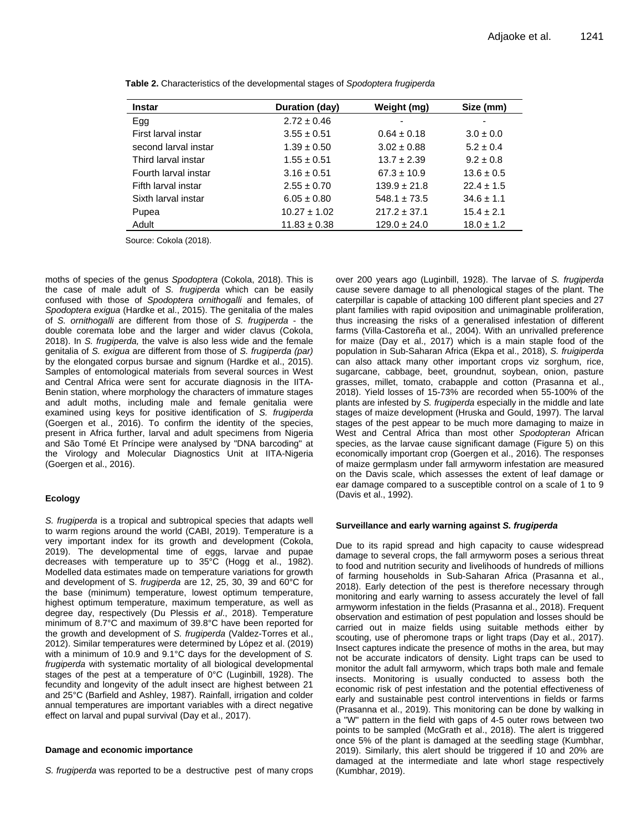| <b>Instar</b>        | Duration (day)   | Weight (mg)      | Size (mm)      |
|----------------------|------------------|------------------|----------------|
| Egg                  | $2.72 \pm 0.46$  | ۰                |                |
| First larval instar  | $3.55 \pm 0.51$  | $0.64 \pm 0.18$  | $3.0 \pm 0.0$  |
| second larval instar | $1.39 \pm 0.50$  | $3.02 \pm 0.88$  | $5.2 \pm 0.4$  |
| Third larval instar  | $1.55 \pm 0.51$  | $13.7 \pm 2.39$  | $9.2 \pm 0.8$  |
| Fourth larval instar | $3.16 \pm 0.51$  | $67.3 \pm 10.9$  | $13.6 \pm 0.5$ |
| Fifth larval instar  | $2.55 \pm 0.70$  | $139.9 \pm 21.8$ | $22.4 \pm 1.5$ |
| Sixth larval instar  | $6.05 \pm 0.80$  | $548.1 \pm 73.5$ | $34.6 \pm 1.1$ |
| Pupea                | $10.27 \pm 1.02$ | $217.2 \pm 37.1$ | $15.4 \pm 2.1$ |
| Adult                | $11.83 \pm 0.38$ | $129.0 \pm 24.0$ | $18.0 \pm 1.2$ |

**Table 2.** Characteristics of the developmental stages of *Spodoptera frugiperda*

Source: Cokola (2018).

moths of species of the genus *Spodoptera* (Cokola, 2018). This is the case of male adult of *S. frugiperda* which can be easily confused with those of *Spodoptera ornithogalli* and females, of *Spodoptera exigua* (Hardke et al., 2015). The genitalia of the males of *S. ornithogalli* are different from those of *S. frugiperda -* the double coremata lobe and the larger and wider clavus (Cokola, 2018). In *S. frugiperda,* the valve is also less wide and the female genitalia of *S. exigua* are different from those of *S. frugiperda (par)*  by the elongated corpus bursae and signum (Hardke et al., 2015). Samples of entomological materials from several sources in West and Central Africa were sent for accurate diagnosis in the IITA-Benin station, where morphology the characters of immature stages and adult moths, including male and female genitalia were examined using keys for positive identification of *S. frugiperda*  (Goergen et al., 2016). To confirm the identity of the species, present in Africa further, larval and adult specimens from Nigeria and São Tomé Et Príncipe were analysed by "DNA barcoding" at the Virology and Molecular Diagnostics Unit at IITA-Nigeria (Goergen et al., 2016).

#### **Ecology**

*S. frugiperda* is a tropical and subtropical species that adapts well to warm regions around the world (CABI, 2019). Temperature is a very important index for its growth and development (Cokola, 2019). The developmental time of eggs, larvae and pupae decreases with temperature up to 35°C (Hogg et al., 1982). Modelled data estimates made on temperature variations for growth and development of S. *frugiperda* are 12, 25, 30, 39 and 60°C for the base (minimum) temperature, lowest optimum temperature, highest optimum temperature, maximum temperature, as well as degree day, respectively (Du Plessis *et al*., 2018). Temperature minimum of 8.7°C and maximum of 39.8°C have been reported for the growth and development of *S. frugiperda* (Valdez-Torres et al., 2012). Similar temperatures were determined by López et al. (2019) with a minimum of 10.9 and 9.1°C days for the development of *S. frugiperda* with systematic mortality of all biological developmental stages of the pest at a temperature of 0°C (Luginbill, 1928). The fecundity and longevity of the adult insect are highest between 21 and 25°C (Barfield and Ashley, 1987). Rainfall, irrigation and colder annual temperatures are important variables with a direct negative effect on larval and pupal survival (Day et al., 2017).

#### **Damage and economic importance**

*S. frugiperda* was reported to be a destructive pest of many crops

over 200 years ago (Luginbill, 1928). The larvae of *S. frugiperda*  cause severe damage to all phenological stages of the plant. The caterpillar is capable of attacking 100 different plant species and 27 plant families with rapid oviposition and unimaginable proliferation, thus increasing the risks of a generalised infestation of different farms (Villa-Castoreña et al., 2004). With an unrivalled preference for maize (Day et al., 2017) which is a main staple food of the population in Sub-Saharan Africa (Ekpa et al., 2018), *S. fruigiperda*  can also attack many other important crops viz sorghum, rice, sugarcane, cabbage, beet, groundnut, soybean, onion, pasture grasses, millet, tomato, crabapple and cotton (Prasanna et al., 2018). Yield losses of 15-73% are recorded when 55-100% of the plants are infested by *S. frugiperda* especially in the middle and late stages of maize development (Hruska and Gould, 1997). The larval stages of the pest appear to be much more damaging to maize in West and Central Africa than most other *Spodopteran* African species, as the larvae cause significant damage (Figure 5) on this economically important crop (Goergen et al., 2016). The responses of maize germplasm under fall armyworm infestation are measured on the Davis scale, which assesses the extent of leaf damage or ear damage compared to a susceptible control on a scale of 1 to 9 (Davis et al., 1992).

#### **Surveillance and early warning against** *S. frugiperda*

Due to its rapid spread and high capacity to cause widespread damage to several crops, the fall armyworm poses a serious threat to food and nutrition security and livelihoods of hundreds of millions of farming households in Sub-Saharan Africa (Prasanna et al., 2018). Early detection of the pest is therefore necessary through monitoring and early warning to assess accurately the level of fall armyworm infestation in the fields (Prasanna et al., 2018). Frequent observation and estimation of pest population and losses should be carried out in maize fields using suitable methods either by scouting, use of pheromone traps or light traps (Day et al., 2017). Insect captures indicate the presence of moths in the area, but may not be accurate indicators of density. Light traps can be used to monitor the adult fall armyworm, which traps both male and female insects. Monitoring is usually conducted to assess both the economic risk of pest infestation and the potential effectiveness of early and sustainable pest control interventions in fields or farms (Prasanna et al., 2019). This monitoring can be done by walking in a "W" pattern in the field with gaps of 4-5 outer rows between two points to be sampled (McGrath et al., 2018). The alert is triggered once 5% of the plant is damaged at the seedling stage (Kumbhar, 2019). Similarly, this alert should be triggered if 10 and 20% are damaged at the intermediate and late whorl stage respectively (Kumbhar, 2019).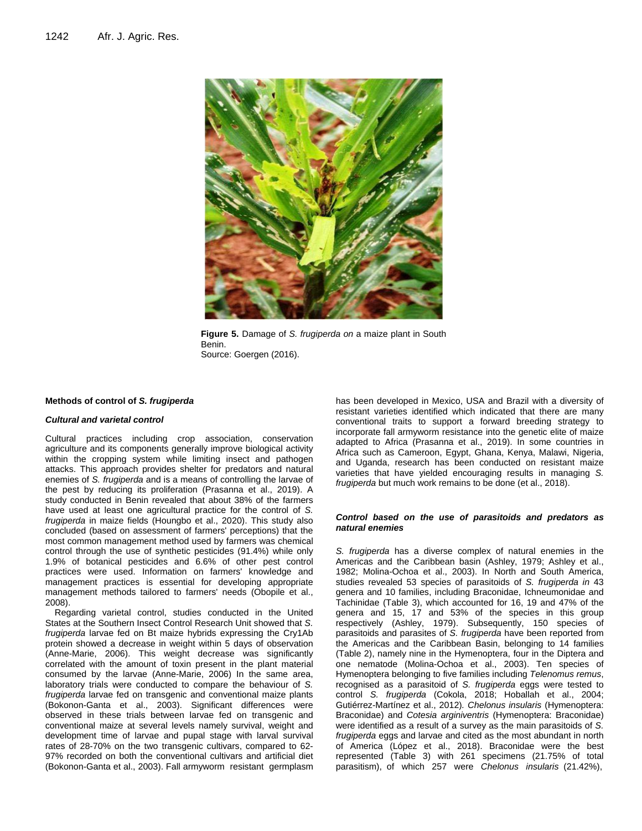

**Figure 5.** Damage of *S. frugiperda on* a maize plant in South Benin. Source: Goergen (2016).

#### **Methods of control of** *S. frugiperda*

#### *Cultural and varietal control*

Cultural practices including crop association, conservation agriculture and its components generally improve biological activity within the cropping system while limiting insect and pathogen attacks. This approach provides shelter for predators and natural enemies of *S. frugiperda* and is a means of controlling the larvae of the pest by reducing its proliferation (Prasanna et al., 2019). A study conducted in Benin revealed that about 38% of the farmers have used at least one agricultural practice for the control of *S. frugiperda* in maize fields (Houngbo et al., 2020). This study also concluded (based on assessment of farmers' perceptions) that the most common management method used by farmers was chemical control through the use of synthetic pesticides (91.4%) while only 1.9% of botanical pesticides and 6.6% of other pest control practices were used. Information on farmers' knowledge and management practices is essential for developing appropriate management methods tailored to farmers' needs (Obopile et al., 2008).

Regarding varietal control, studies conducted in the United States at the Southern Insect Control Research Unit showed that *S. frugiperda* larvae fed on Bt maize hybrids expressing the Cry1Ab protein showed a decrease in weight within 5 days of observation (Anne-Marie, 2006). This weight decrease was significantly correlated with the amount of toxin present in the plant material consumed by the larvae (Anne-Marie, 2006) In the same area, laboratory trials were conducted to compare the behaviour of *S. frugiperda* larvae fed on transgenic and conventional maize plants (Bokonon-Ganta et al., 2003). Significant differences were observed in these trials between larvae fed on transgenic and conventional maize at several levels namely survival, weight and development time of larvae and pupal stage with larval survival rates of 28-70% on the two transgenic cultivars, compared to 62- 97% recorded on both the conventional cultivars and artificial diet (Bokonon-Ganta et al., 2003). Fall armyworm resistant germplasm

has been developed in Mexico, USA and Brazil with a diversity of resistant varieties identified which indicated that there are many conventional traits to support a forward breeding strategy to incorporate fall armyworm resistance into the genetic elite of maize adapted to Africa (Prasanna et al., 2019). In some countries in Africa such as Cameroon, Egypt, Ghana, Kenya, Malawi, Nigeria, and Uganda, research has been conducted on resistant maize varieties that have yielded encouraging results in managing *S. frugiperda* but much work remains to be done (et al., 2018).

#### *Control based on the use of parasitoids and predators as natural enemies*

*S. frugiperda* has a diverse complex of natural enemies in the Americas and the Caribbean basin (Ashley, 1979; Ashley et al., 1982; Molina-Ochoa et al., 2003). In North and South America, studies revealed 53 species of parasitoids of *S. frugiperda in* 43 genera and 10 families, including Braconidae, Ichneumonidae and Tachinidae (Table 3), which accounted for 16, 19 and 47% of the genera and 15, 17 and 53% of the species in this group respectively (Ashley, 1979). Subsequently, 150 species of parasitoids and parasites of *S. frugiperda* have been reported from the Americas and the Caribbean Basin, belonging to 14 families (Table 2), namely nine in the Hymenoptera, four in the Diptera and one nematode (Molina-Ochoa et al., 2003). Ten species of Hymenoptera belonging to five families including *Telenomus remus*, recognised as a parasitoid of *S. frugiperda* eggs were tested to control *S. frugiperda* (Cokola, 2018; Hoballah et al., 2004; Gutiérrez-Martínez et al., 2012)*. Chelonus insularis* (Hymenoptera: Braconidae) and *Cotesia arginiventris* (Hymenoptera: Braconidae) were identified as a result of a survey as the main parasitoids of *S. frugiperda* eggs and larvae and cited as the most abundant in north of America (López et al., 2018). Braconidae were the best represented (Table 3) with 261 specimens (21.75% of total parasitism), of which 257 were *Chelonus insularis* (21.42%),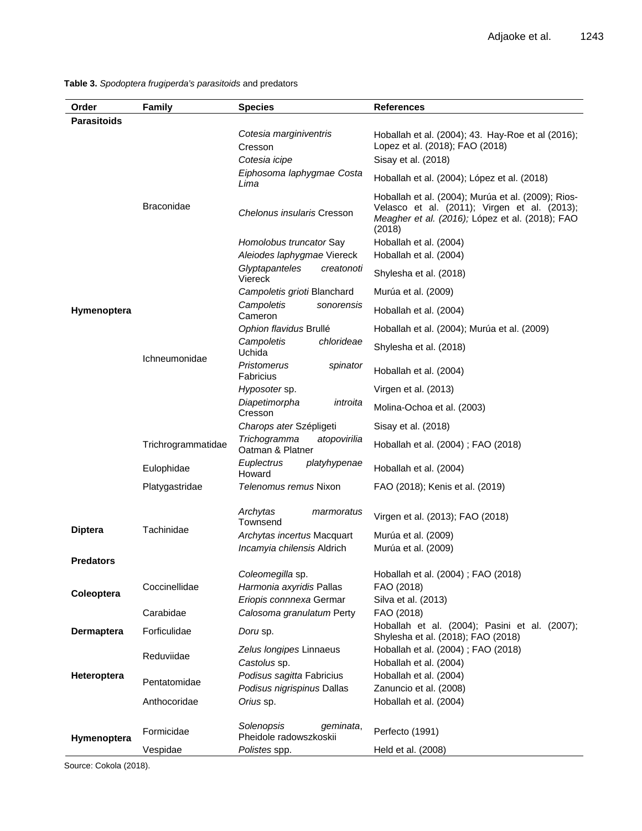**Table 3.** *Spodoptera frugiperda's parasitoids* and predators

| Order              | <b>Family</b>      | <b>Species</b>                                          | <b>References</b>                                                                                                                                     |  |
|--------------------|--------------------|---------------------------------------------------------|-------------------------------------------------------------------------------------------------------------------------------------------------------|--|
| <b>Parasitoids</b> |                    |                                                         |                                                                                                                                                       |  |
|                    |                    | Cotesia marginiventris<br>Cresson                       | Hoballah et al. (2004); 43. Hay-Roe et al (2016);<br>Lopez et al. (2018); FAO (2018)                                                                  |  |
|                    | <b>Braconidae</b>  | Cotesia icipe                                           | Sisay et al. (2018)                                                                                                                                   |  |
|                    |                    | Eiphosoma laphygmae Costa<br>Lima                       | Hoballah et al. (2004); López et al. (2018)                                                                                                           |  |
|                    |                    | Chelonus insularis Cresson                              | Hoballah et al. (2004); Murúa et al. (2009); Rios-<br>Velasco et al. (2011); Virgen et al. (2013);<br>Meagher et al. (2016); López et al. (2018); FAO |  |
|                    |                    | Homolobus truncator Say                                 | (2018)<br>Hoballah et al. (2004)                                                                                                                      |  |
|                    |                    | Aleiodes laphygmae Viereck                              | Hoballah et al. (2004)                                                                                                                                |  |
|                    |                    | Glyptapanteles<br>creatonoti<br>Viereck                 | Shylesha et al. (2018)                                                                                                                                |  |
|                    |                    | Campoletis grioti Blanchard                             | Murúa et al. (2009)                                                                                                                                   |  |
| Hymenoptera        | Ichneumonidae      | Campoletis<br>sonorensis                                | Hoballah et al. (2004)                                                                                                                                |  |
|                    |                    | Cameron<br>Ophion flavidus Brullé                       | Hoballah et al. (2004); Murúa et al. (2009)                                                                                                           |  |
|                    |                    | Campoletis<br>chlorideae<br>Uchida                      | Shylesha et al. (2018)                                                                                                                                |  |
|                    |                    | Pristomerus<br>spinator<br>Fabricius                    | Hoballah et al. (2004)                                                                                                                                |  |
|                    |                    | Hyposoter sp.                                           | Virgen et al. (2013)                                                                                                                                  |  |
|                    |                    | Diapetimorpha<br>introita<br>Cresson                    | Molina-Ochoa et al. (2003)                                                                                                                            |  |
|                    |                    | Charops ater Szépligeti                                 | Sisay et al. (2018)                                                                                                                                   |  |
|                    | Trichrogrammatidae | Trichogramma<br>atopovirilia<br>Oatman & Platner        | Hoballah et al. (2004); FAO (2018)                                                                                                                    |  |
|                    | Eulophidae         | Euplectrus<br>platyhypenae<br>Howard                    | Hoballah et al. (2004)                                                                                                                                |  |
|                    | Platygastridae     | Telenomus remus Nixon                                   | FAO (2018); Kenis et al. (2019)                                                                                                                       |  |
|                    | Tachinidae         | Archytas<br>marmoratus<br>Townsend                      | Virgen et al. (2013); FAO (2018)                                                                                                                      |  |
| <b>Diptera</b>     |                    | Archytas incertus Macquart                              | Murúa et al. (2009)                                                                                                                                   |  |
|                    |                    | Incamyia chilensis Aldrich                              | Murúa et al. (2009)                                                                                                                                   |  |
| <b>Predators</b>   |                    | Coleomegilla sp.                                        | Hoballah et al. (2004); FAO (2018)                                                                                                                    |  |
|                    | Coccinellidae      | Harmonia axyridis Pallas                                | FAO (2018)                                                                                                                                            |  |
| Coleoptera         |                    | Eriopis connnexa Germar                                 | Silva et al. (2013)                                                                                                                                   |  |
|                    | Carabidae          | Calosoma granulatum Perty                               | FAO (2018)                                                                                                                                            |  |
| <b>Dermaptera</b>  | Forficulidae       | Doru sp.                                                | Hoballah et al. (2004); Pasini et al. (2007);<br>Shylesha et al. (2018); FAO (2018)                                                                   |  |
| Heteroptera        | Reduviidae         | Zelus longipes Linnaeus<br>Castolus sp.                 | Hoballah et al. (2004); FAO (2018)<br>Hoballah et al. (2004)                                                                                          |  |
|                    | Pentatomidae       | Podisus sagitta Fabricius<br>Podisus nigrispinus Dallas | Hoballah et al. (2004)<br>Zanuncio et al. (2008)                                                                                                      |  |
|                    | Anthocoridae       | Orius sp.                                               | Hoballah et al. (2004)                                                                                                                                |  |
| Hymenoptera        | Formicidae         | Solenopsis<br>geminata,<br>Pheidole radowszkoskii       | Perfecto (1991)                                                                                                                                       |  |
|                    | Vespidae           | Polistes spp.                                           | Held et al. (2008)                                                                                                                                    |  |

Source: Cokola (2018).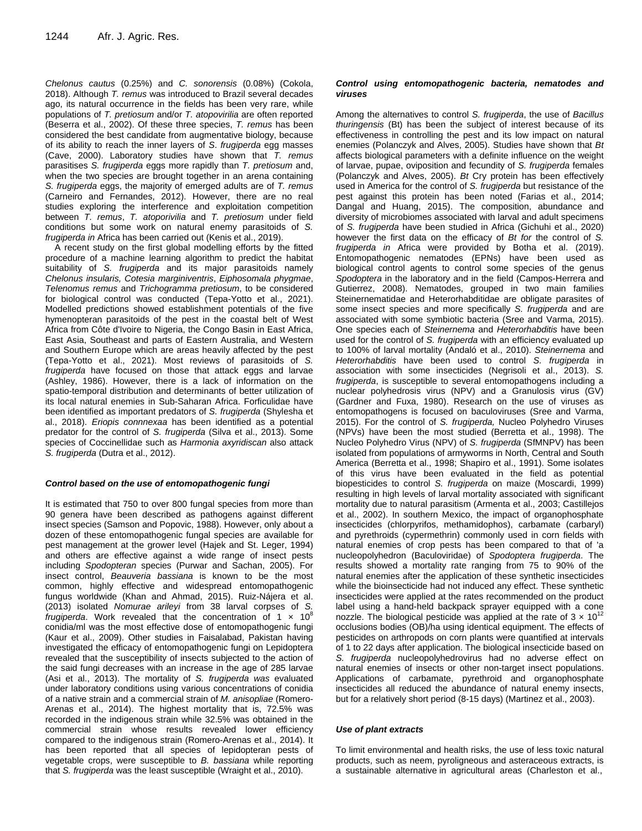*Chelonus cautus* (0.25%) and *C. sonorensis* (0.08%) (Cokola, 2018). Although *T. remus* was introduced to Brazil several decades ago, its natural occurrence in the fields has been very rare, while populations of *T. pretiosum* and/or *T. atopovirilia* are often reported (Beserra et al., 2002). Of these three species, *T. remus* has been considered the best candidate from augmentative biology, because of its ability to reach the inner layers of *S*. *frugiperda* egg masses (Cave, 2000). Laboratory studies have shown that *T. remus*  parasitises *S. frugiperda* eggs more rapidly than *T. pretiosum* and, when the two species are brought together in an arena containing *S. frugiperda* eggs, the majority of emerged adults are of *T. remus*  (Carneiro and Fernandes, 2012). However, there are no real studies exploring the interference and exploitation competition between *T. remus*, *T. atoporivilia* and *T. pretiosum* under field conditions but some work on natural enemy parasitoids of *S. frugiperda in* Africa has been carried out (Kenis et al., 2019).

A recent study on the first global modelling efforts by the fitted procedure of a machine learning algorithm to predict the habitat suitability of *S. frugiperda* and its major parasitoids namely *Chelonus insularis, Cotesia marginiventris*, *Eiphosomala phygmae*, *Telenomus remus* and *Trichogramma pretiosum*, to be considered for biological control was conducted (Tepa-Yotto et al., 2021). Modelled predictions showed establishment potentials of the five hymenopteran parasitoids of the pest in the coastal belt of West Africa from Côte d'Ivoire to Nigeria, the Congo Basin in East Africa, East Asia, Southeast and parts of Eastern Australia, and Western and Southern Europe which are areas heavily affected by the pest (Tepa-Yotto et al., 2021). Most reviews of parasitoids of *S. frugiperda* have focused on those that attack eggs and larvae (Ashley, 1986). However, there is a lack of information on the spatio-temporal distribution and determinants of better utilization of its local natural enemies in Sub-Saharan Africa. Forficulidae have been identified as important predators of *S. frugiperda* (Shylesha et al., 2018). *Eriopis connnexaa* has been identified as a potential predator for the control of *S. frugiperda* (Silva et al., 2013). Some species of Coccinellidae such as *Harmonia axyridiscan* also attack *S. frugiperda* (Dutra et al., 2012).

#### *Control based on the use of entomopathogenic fungi*

It is estimated that 750 to over 800 fungal species from more than 90 genera have been described as pathogens against different insect species (Samson and Popovic, 1988). However, only about a dozen of these entomopathogenic fungal species are available for pest management at the grower level (Hajek and St. Leger, 1994) and others are effective against a wide range of insect pests including *Spodopteran* species (Purwar and Sachan, 2005). For insect control, *Beauveria bassiana* is known to be the most common, highly effective and widespread entomopathogenic fungus worldwide (Khan and Ahmad, 2015). Ruiz-Nájera et al. (2013) isolated *Nomurae arileyi* from 38 larval corpses of *S. frugiperda*. Work revealed that the concentration of 1  $\times$  10<sup>8</sup> conidia/ml was the most effective dose of entomopathogenic fungi (Kaur et al., 2009). Other studies in Faisalabad, Pakistan having investigated the efficacy of entomopathogenic fungi on Lepidoptera revealed that the susceptibility of insects subjected to the action of the said fungi decreases with an increase in the age of 285 larvae (Asi et al., 2013). The mortality of *S. frugiperda was* evaluated under laboratory conditions using various concentrations of conidia of a native strain and a commercial strain of *M. anisopliae* (Romero-Arenas et al., 2014). The highest mortality that is, 72.5% was recorded in the indigenous strain while 32.5% was obtained in the commercial strain whose results revealed lower efficiency compared to the indigenous strain (Romero-Arenas et al., 2014). It has been reported that all species of lepidopteran pests of vegetable crops, were susceptible to *B. bassiana* while reporting that *S. frugiperda* was the least susceptible (Wraight et al., 2010).

#### *Control using entomopathogenic bacteria, nematodes and viruses*

Among the alternatives to control *S. frugiperda*, the use of *Bacillus thuringensis* (Bt) has been the subject of interest because of its effectiveness in controlling the pest and its low impact on natural enemies (Polanczyk and Alves, 2005). Studies have shown that *Bt*  affects biological parameters with a definite influence on the weight of larvae, pupae, oviposition and fecundity of *S. frugiperda* females (Polanczyk and Alves, 2005). *Bt* Cry protein has been effectively used in America for the control of *S. frugiperda* but resistance of the pest against this protein has been noted (Farias et al., 2014; Dangal and Huang, 2015). The composition, abundance and diversity of microbiomes associated with larval and adult specimens of *S. frugiperda* have been studied in Africa (Gichuhi et al., 2020) however the first data on the efficacy of *Bt for* the control of *S. frugiperda in* Africa were provided by Botha et al. (2019). Entomopathogenic nematodes (EPNs) have been used as biological control agents to control some species of the genus *Spodoptera* in the laboratory and in the field (Campos-Herrera and Gutierrez, 2008). Nematodes, grouped in two main families Steinernematidae and Heterorhabditidae are obligate parasites of some insect species and more specifically *S. frugiperda* and are associated with some symbiotic bacteria (Sree and Varma, 2015). One species each of *Steinernema* and *Heterorhabditis* have been used for the control of *S. frugiperda* with an efficiency evaluated up to 100% of larval mortality (Andaló et al., 2010). *Steinernema* and *Heterorhabditis* have been used to control *S. frugiperda* in association with some insecticides (Negrisoli et al., 2013). *S. frugiperda*, is susceptible to several entomopathogens including a nuclear polyhedrosis virus (NPV) and a Granulosis virus (GV) (Gardner and Fuxa, 1980). Research on the use of viruses as entomopathogens is focused on baculoviruses (Sree and Varma, 2015). For the control of *S. frugiperda,* Nucleo Polyhedro Viruses (NPVs) have been the most studied (Berretta et al., 1998). The Nucleo Polyhedro Virus (NPV) of *S. frugiperda* (SfMNPV) has been isolated from populations of armyworms in North, Central and South America (Berretta et al., 1998; Shapiro et al., 1991). Some isolates of this virus have been evaluated in the field as potential biopesticides to control *S. frugiperda* on maize (Moscardi, 1999) resulting in high levels of larval mortality associated with significant mortality due to natural parasitism (Armenta et al., 2003; Castillejos et al., 2002). In southern Mexico, the impact of organophosphate insecticides (chlorpyrifos, methamidophos), carbamate (carbaryl) and pyrethroids (cypermethrin) commonly used in corn fields with natural enemies of crop pests has been compared to that of 'a nucleopolyhedron (Baculoviridae) of *Spodoptera frugiperda*. The results showed a mortality rate ranging from 75 to 90% of the natural enemies after the application of these synthetic insecticides while the bioinsecticide had not induced any effect. These synthetic insecticides were applied at the rates recommended on the product label using a hand-held backpack sprayer equipped with a cone nozzle. The biological pesticide was applied at the rate of  $3 \times 10^{12}$ occlusions bodies (OB)/ha using identical equipment. The effects of pesticides on arthropods on corn plants were quantified at intervals of 1 to 22 days after application. The biological insecticide based on *S. frugiperda* nucleopolyhedrovirus had no adverse effect on natural enemies of insects or other non-target insect populations. Applications of carbamate, pyrethroid and organophosphate insecticides all reduced the abundance of natural enemy insects, but for a relatively short period (8-15 days) (Martinez et al., 2003).

#### *Use of plant extracts*

To limit environmental and health risks, the use of less toxic natural products, such as neem, pyroligneous and asteraceous extracts, is a sustainable alternative in agricultural areas (Charleston et al.,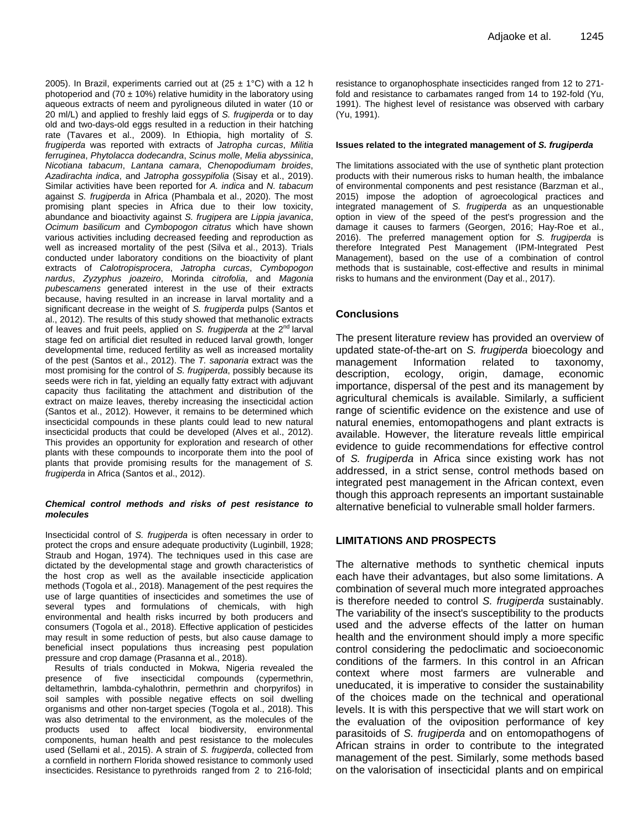2005). In Brazil, experiments carried out at  $(25 \pm 1^{\circ} \text{C})$  with a 12 h photoperiod and (70  $\pm$  10%) relative humidity in the laboratory using aqueous extracts of neem and pyroligneous diluted in water (10 or 20 ml/L) and applied to freshly laid eggs of *S. frugiperda* or to day old and two-days-old eggs resulted in a reduction in their hatching rate (Tavares et al., 2009). In Ethiopia, high mortality of *S. frugiperda* was reported with extracts of *Jatropha curcas*, *Militia ferruginea*, *Phytolacca dodecandra*, *Scinus molle*, *Melia abyssinica*, *Nicotiana tabacum*, *Lantana camara*, *Chenopodiumam broides*, *Azadirachta indica*, and *Jatropha gossypifolia* (Sisay et al., 2019). Similar activities have been reported for *A. indica* and *N. tabacum*  against *S. frugiperda* in Africa (Phambala et al., 2020). The most promising plant species in Africa due to their low toxicity, abundance and bioactivity against *S. frugipera* are *Lippia javanica*, *Ocimum basilicum* and *Cymbopogon citratus* which have shown various activities including decreased feeding and reproduction as well as increased mortality of the pest (Silva et al., 2013). Trials conducted under laboratory conditions on the bioactivity of plant extracts of *Calotropisprocera*, *Jatropha curcas*, *Cymbopogon nardus*, *Zyzyphus joazeiro*, Morinda *citrofolia*, and *Magonia pubescamens* generated interest in the use of their extracts because, having resulted in an increase in larval mortality and a significant decrease in the weight of *S. frugiperda* pulps (Santos et al., 2012). The results of this study showed that methanolic extracts of leaves and fruit peels, applied on *S. frugiperda* at the 2nd larval stage fed on artificial diet resulted in reduced larval growth, longer developmental time, reduced fertility as well as increased mortality of the pest (Santos et al., 2012). The *T. saponaria* extract was the most promising for the control of *S. frugiperda*, possibly because its seeds were rich in fat, yielding an equally fatty extract with adjuvant capacity thus facilitating the attachment and distribution of the extract on maize leaves, thereby increasing the insecticidal action (Santos et al., 2012). However, it remains to be determined which insecticidal compounds in these plants could lead to new natural insecticidal products that could be developed (Alves et al., 2012). This provides an opportunity for exploration and research of other plants with these compounds to incorporate them into the pool of plants that provide promising results for the management of *S. frugiperda* in Africa (Santos et al., 2012).

#### *Chemical control methods and risks of pest resistance to molecules*

Insecticidal control of *S. frugiperda* is often necessary in order to protect the crops and ensure adequate productivity (Luginbill, 1928; Straub and Hogan, 1974). The techniques used in this case are dictated by the developmental stage and growth characteristics of the host crop as well as the available insecticide application methods (Togola et al., 2018). Management of the pest requires the use of large quantities of insecticides and sometimes the use of several types and formulations of chemicals, with high environmental and health risks incurred by both producers and consumers (Togola et al., 2018). Effective application of pesticides may result in some reduction of pests, but also cause damage to beneficial insect populations thus increasing pest population pressure and crop damage (Prasanna et al., 2018).

Results of trials conducted in Mokwa, Nigeria revealed the presence of five insecticidal compounds (cypermethrin, deltamethrin, lambda-cyhalothrin, permethrin and chorpyrifos) in soil samples with possible negative effects on soil dwelling organisms and other non-target species (Togola et al., 2018). This was also detrimental to the environment, as the molecules of the products used to affect local biodiversity, environmental components, human health and pest resistance to the molecules used (Sellami et al., 2015). A strain of *S. frugiperda*, collected from a cornfield in northern Florida showed resistance to commonly used insecticides. Resistance to pyrethroids ranged from 2 to 216-fold;

resistance to organophosphate insecticides ranged from 12 to 271 fold and resistance to carbamates ranged from 14 to 192-fold (Yu, 1991). The highest level of resistance was observed with carbary (Yu, 1991).

#### **Issues related to the integrated management of** *S. frugiperda*

The limitations associated with the use of synthetic plant protection products with their numerous risks to human health, the imbalance of environmental components and pest resistance (Barzman et al., 2015) impose the adoption of agroecological practices and integrated management of *S. frugiperda* as an unquestionable option in view of the speed of the pest's progression and the damage it causes to farmers (Georgen, 2016; Hay-Roe et al., 2016). The preferred management option for *S. frugiperda* is therefore Integrated Pest Management (IPM-Integrated Pest Management), based on the use of a combination of control methods that is sustainable, cost-effective and results in minimal risks to humans and the environment (Day et al., 2017).

## **Conclusions**

The present literature review has provided an overview of updated state-of-the-art on *S. frugiperda* bioecology and management Information related to taxonomy, description, ecology, origin, damage, economic importance, dispersal of the pest and its management by agricultural chemicals is available. Similarly, a sufficient range of scientific evidence on the existence and use of natural enemies, entomopathogens and plant extracts is available. However, the literature reveals little empirical evidence to guide recommendations for effective control of *S. frugiperda* in Africa since existing work has not addressed, in a strict sense, control methods based on integrated pest management in the African context, even though this approach represents an important sustainable alternative beneficial to vulnerable small holder farmers.

## **LIMITATIONS AND PROSPECTS**

The alternative methods to synthetic chemical inputs each have their advantages, but also some limitations. A combination of several much more integrated approaches is therefore needed to control *S. frugiperda* sustainably. The variability of the insect's susceptibility to the products used and the adverse effects of the latter on human health and the environment should imply a more specific control considering the pedoclimatic and socioeconomic conditions of the farmers. In this control in an African context where most farmers are vulnerable and uneducated, it is imperative to consider the sustainability of the choices made on the technical and operational levels. It is with this perspective that we will start work on the evaluation of the oviposition performance of key parasitoids of *S. frugiperda* and on entomopathogens of African strains in order to contribute to the integrated management of the pest. Similarly, some methods based on the valorisation of insecticidal plants and on empirical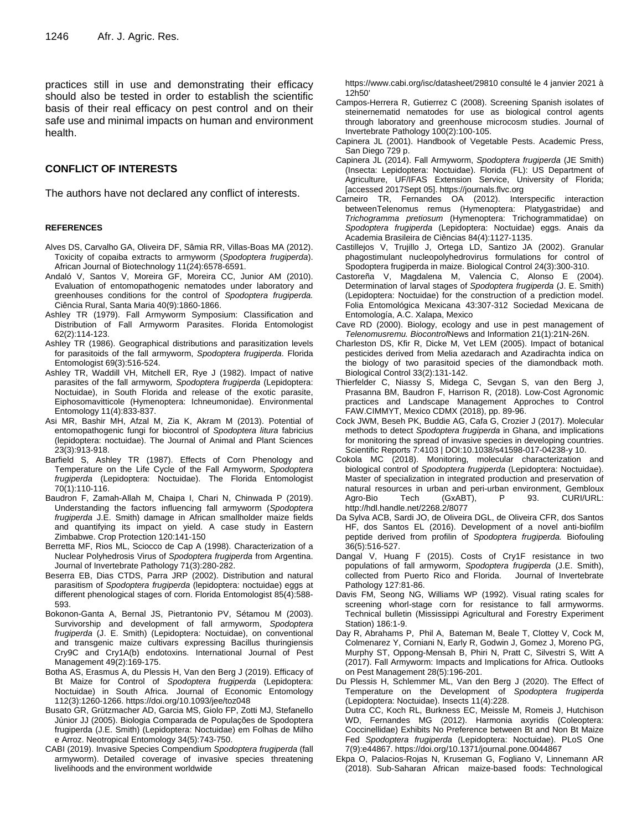practices still in use and demonstrating their efficacy should also be tested in order to establish the scientific basis of their real efficacy on pest control and on their safe use and minimal impacts on human and environment health.

## **CONFLICT OF INTERESTS**

The authors have not declared any conflict of interests.

#### **REFERENCES**

- Alves DS, Carvalho GA, Oliveira DF, Sâmia RR, Villas-Boas MA (2012). Toxicity of copaiba extracts to armyworm (*Spodoptera frugiperda*). African Journal of Biotechnology 11(24):6578-6591.
- Andaló V, Santos V, Moreira GF, Moreira CC, Junior AM (2010). Evaluation of entomopathogenic nematodes under laboratory and greenhouses conditions for the control of *Spodoptera frugiperda.* Ciência Rural, Santa Maria 40(9):1860-1866.
- Ashley TR (1979). Fall Armyworm Symposium: Classification and Distribution of Fall Armyworm Parasites. Florida Entomologist 62(2):114-123.
- Ashley TR (1986). Geographical distributions and parasitization levels for parasitoids of the fall armyworm, *Spodoptera frugiperda*. Florida Entomologist 69(3):516-524.
- Ashley TR, Waddill VH, Mitchell ER, Rye J (1982). Impact of native parasites of the fall armyworm*, Spodoptera frugiperda* (Lepidoptera: Noctuidae), in South Florida and release of the exotic parasite, Eiphosomavitticole (Hymenoptera: Ichneumonidae). Environmental Entomology 11(4):833-837.
- Asi MR, Bashir MH, Afzal M, Zia K, Akram M (2013). Potential of entomopathogenic fungi for biocontrol of *Spodoptera litura* fabricius (lepidoptera: noctuidae). The Journal of Animal and Plant Sciences 23(3):913-918.
- Barfield S, Ashley TR (1987). Effects of Corn Phenology and Temperature on the Life Cycle of the Fall Armyworm, *Spodoptera frugiperda* (Lepidoptera: Noctuidae). The Florida Entomologist 70(1):110-116.
- Baudron F, Zamah-Allah M, Chaipa I, Chari N, Chinwada P (2019). Understanding the factors influencing fall armyworm (*Spodoptera frugiperda* J.E. Smith) damage in African smallholder maize fields and quantifying its impact on yield. A case study in Eastern Zimbabwe. Crop Protection 120:141-150
- Berretta MF, Rios ML, Sciocco de Cap A (1998). Characterization of a Nuclear Polyhedrosis Virus of *Spodoptera frugiperda* from Argentina. Journal of Invertebrate Pathology 71(3):280-282.
- Beserra EB, Dias CTDS, Parra JRP (2002). Distribution and natural parasitism of *Spodoptera frugiperda* (lepidoptera: noctuidae) eggs at different phenological stages of corn. Florida Entomologist 85(4):588- 593.
- Bokonon-Ganta A, Bernal JS, Pietrantonio PV, Sétamou M (2003). Survivorship and development of fall armyworm, *Spodoptera frugiperda* (J. E. Smith) (Lepidoptera: Noctuidae), on conventional and transgenic maize cultivars expressing Bacillus thuringiensis Cry9C and Cry1A(b) endotoxins. International Journal of Pest Management 49(2):169-175.
- Botha AS, Erasmus A, du Plessis H, Van den Berg J (2019). Efficacy of Bt Maize for Control of *Spodoptera frugiperda* (Lepidoptera: Noctuidae) in South Africa. Journal of Economic Entomology 112(3):1260-1266. https://doi.org/10.1093/jee/toz048
- Busato GR, Grützmacher AD, Garcia MS, Giolo FP, Zotti MJ, Stefanello Júnior JJ (2005). Biologia Comparada de Populações de Spodoptera frugiperda (J.E. Smith) (Lepidoptera: Noctuidae) em Folhas de Milho e Arroz. Neotropical Entomology 34(5):743-750.
- CABI (2019). Invasive Species Compendium *Spodoptera frugiperda* (fall armyworm). Detailed coverage of invasive species threatening livelihoods and the environment worldwide

https://www.cabi.org/isc/datasheet/29810 consulté le 4 janvier 2021 à 12h50'

- Campos-Herrera R, Gutierrez C (2008). Screening Spanish isolates of steinernematid nematodes for use as biological control agents through laboratory and greenhouse microcosm studies. Journal of Invertebrate Pathology 100(2):100-105.
- Capinera JL (2001). Handbook of Vegetable Pests. Academic Press, San Diego 729 p.
- Capinera JL (2014). Fall Armyworm, *Spodoptera frugiperda* (JE Smith) (Insecta: Lepidoptera: Noctuidae). Florida (FL): US Department of Agriculture, UF/IFAS Extension Service, University of Florida; [accessed 2017Sept 05]. https://journals.flvc.org
- Carneiro TR, Fernandes OA (2012). Interspecific interaction betweenTelenomus remus (Hymenoptera: Platygastridae) and *Trichogramma pretiosum* (Hymenoptera: Trichogrammatidae) on *Spodoptera frugiperda* (Lepidoptera: Noctuidae) eggs. Anais da Academia Brasileira de Ciências 84(4):1127-1135.
- Castillejos V, Trujillo J, Ortega LD, Santizo JA (2002). Granular phagostimulant nucleopolyhedrovirus formulations for control of Spodoptera frugiperda in maize. Biological Control 24(3):300-310.
- Castoreña V, Magdalena M, Valencia C, Alonso E (2004). Determination of larval stages of *Spodoptera frugiperda* (J. E. Smith) (Lepidoptera: Noctuidae) for the construction of a prediction model. Folia Entomológica Mexicana 43:307-312 Sociedad Mexicana de Entomología, A.C. Xalapa, Mexico
- Cave RD (2000). Biology, ecology and use in pest management of *Telenomusremu. Biocontrol*News and Information 21(1):21N-26N.
- Charleston DS, Kfir R, Dicke M, Vet LEM (2005). Impact of botanical pesticides derived from Melia azedarach and Azadirachta indica on the biology of two parasitoid species of the diamondback moth. Biological Control 33(2):131-142.
- Thierfelder C, Niassy S, Midega C, Sevgan S, van den Berg J, Prasanna BM, Baudron F, Harrison R, (2018). Low-Cost Agronomic practices and Landscape Management Approches to Control FAW.CIMMYT, Mexico CDMX (2018), pp. 89-96.
- Cock JWM, Beseh PK, Buddie AG, Cafa G, Crozier J (2017). Molecular methods to detect *Spodoptera frugiperda* in Ghana, and implications for monitoring the spread of invasive species in developing countries. Scientific Reports 7:4103 | DOI:10.1038/s41598-017-04238-y 10.
- Cokola MC (2018). Monitoring, molecular characterization and biological control of *Spodoptera frugiperda* (Lepidoptera: Noctuidae). Master of specialization in integrated production and preservation of natural resources in urban and peri-urban environment, Gembloux<br>Agro-Bio Tech (GxABT), P 93. CURI/URL: Agro-Bio Tech (GxABT), P 93. CURI/URL: http://hdl.handle.net/2268.2/8077
- Da Sylva ACB, Sardi JO, de Oliveira DGL, de Oliveira CFR, dos Santos HF, dos Santos EL (2016). Development of a novel anti-biofilm peptide derived from profilin of *Spodoptera frugiperda.* Biofouling 36(5):516-527.
- Dangal V, Huang F (2015). Costs of Cry1F resistance in two populations of fall armyworm, *Spodoptera frugiperda* (J.E. Smith), collected from Puerto Rico and Florida. Pathology 127:81-86.
- Davis FM, Seong NG, Williams WP (1992). Visual rating scales for screening whorl-stage corn for resistance to fall armyworms. Technical bulletin (Mississippi Agricultural and Forestry Experiment Station) 186:1-9.
- Day R, Abrahams P, [Phil](https://www.ingentaconnect.com/search;jsessionid=147gdgiktr1td.x-ic-live-01?option2=author&value2=Abrahams,+Phil) A, [Bateman M,](https://www.ingentaconnect.com/search;jsessionid=147gdgiktr1td.x-ic-live-01?option2=author&value2=Bateman,+Melanie) [Beale T, Clottey V,](https://www.ingentaconnect.com/search;jsessionid=147gdgiktr1td.x-ic-live-01?option2=author&value2=Beale,+Tim) [Cock M,](https://www.ingentaconnect.com/search;jsessionid=147gdgiktr1td.x-ic-live-01?option2=author&value2=Cock,+Matthew)  Colmenarez Y, Corniani N, Early R, Godwin J, Gomez J, Moreno PG, Murphy ST, Oppong-Mensah B, Phiri N, Pratt C, Silvestri S, Witt A (2017). Fall Armyworm: Impacts and Implications for Africa. Outlooks on Pest Management 28(5):196-201.

Du Plessis H, Schlemmer ML, Van den Berg J (2020). The Effect of Temperature on the Development of *Spodoptera frugiperda*  (Lepidoptera: Noctuidae). Insects 11(4):228.

Dutra CC, Koch RL, Burkness EC, Meissle M, Romeis J, Hutchison WD, Fernandes MG (2012). Harmonia axyridis (Coleoptera: Coccinellidae) Exhibits No Preference between Bt and Non Bt Maize Fed *Spodoptera frugiperda* (Lepidoptera: Noctuidae). PLoS One 7(9):e44867. https://doi.org/10.1371/journal.pone.0044867

Ekpa O, Palacios-Rojas N, Kruseman G, Fogliano V, Linnemann AR (2018). Sub-Saharan African maize-based foods: Technological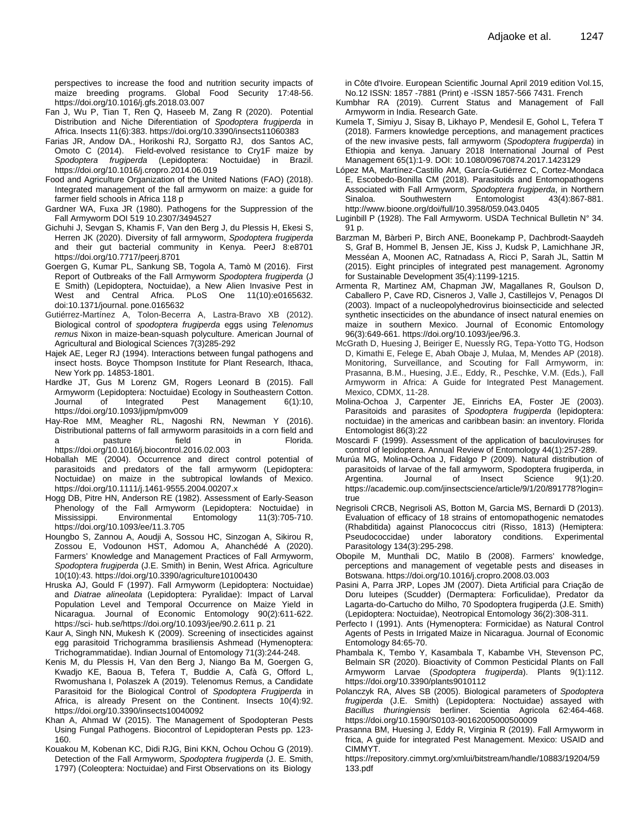perspectives to increase the food and nutrition security impacts of maize breeding programs. Global Food Security 17:48-56. https://doi.org/10.1016/j.gfs.2018.03.007

- Fan J, Wu P, Tian T, Ren Q, Haseeb M, Zang R (2020). Potential Distribution and Niche Diferentiation of *Spodoptera frugiperda* in Africa. Insects 11(6):383. https://doi.org/10.3390/insects11060383
- [Farias](https://onlinelibrary.wiley.com/action/doSearch?ContribAuthorStored=Farias%2C+Juliano+R) JR, [Andow](https://onlinelibrary.wiley.com/action/doSearch?ContribAuthorStored=Andow%2C+David+A) DA., [Horikoshi](https://onlinelibrary.wiley.com/action/doSearch?ContribAuthorStored=Horikoshi%2C+Renato+J) RJ, Sorgatto RJ, [dos Santos](https://onlinelibrary.wiley.com/action/doSearch?ContribAuthorStored=Santos%2C+Antonio+C+Dos) AC, [Omoto](https://onlinelibrary.wiley.com/action/doSearch?ContribAuthorStored=Omoto%2C+Celso) C (2014). Field-evolved resistance to Cry1F maize by<br>Spodoptera frugiperda (Lepidoptera: Noctuidae) in Brazil. Spodoptera frugiperda (Lepidoptera: https://doi.org/10.1016/j.cropro.2014.06.019
- Food and Agriculture Organization of the United Nations (FAO) (2018). Integrated management of the fall armyworm on maize: a guide for farmer field schools in Africa 118 p
- Gardner WA, Fuxa JR (1980). Pathogens for the Suppression of the Fall Armyworm DOI 519 10.2307/3494527
- Gichuhi J, Sevgan S, Khamis F, Van den Berg J, du Plessis H, Ekesi S, Herren JK (2020). Diversity of fall armyworm, *Spodoptera frugiperda* and their gut bacterial community in Kenya. PeerJ 8:e8701 <https://doi.org/10.7717/peerj.8701>
- Goergen G, Kumar PL, Sankung SB, Togola A, Tamò M (2016). First Report of Outbreaks of the Fall Armyworm *Spodoptera frugiperda* (J E Smith) (Lepidoptera, Noctuidae), a New Alien Invasive Pest in West and Central Africa. PLoS One 11(10):e0165632. doi:10.1371/journal. pone.0165632
- Gutiérrez-Martínez A, [Tolon-Becerra A,](https://www.cabdirect.org/cabdirect/search/?q=au%3a%22Tolon-Becerra%2c+A.%22) [Lastra-Bravo XB](https://www.cabdirect.org/cabdirect/search/?q=au%3a%22Lastra-Bravo%2c+X.+B.%22) (2012). Biological control of *spodoptera frugiperda* eggs using *Telenomus remus* Nixon in maize-bean-squash polyculture. [American Journal of](https://www.cabdirect.org/cabdirect/search/?q=do%3a%22American+Journal+of+Agricultural+and+Biological+Sciences%22)  [Agricultural and Biological Sciences](https://www.cabdirect.org/cabdirect/search/?q=do%3a%22American+Journal+of+Agricultural+and+Biological+Sciences%22) 7(3)285-292
- Hajek AE, Leger RJ (1994). Interactions between fungal pathogens and insect hosts. Boyce Thompson Institute for Plant Research, Ithaca, New York pp. 14853-1801.
- Hardke JT, Gus M Lorenz GM, Rogers Leonard B (2015). Fall Armyworm (Lepidoptera: Noctuidae) Ecology in Southeastern Cotton. Journal of Integrated Pest Management 6(1):10, https://doi.org/10.1093/jipm/pmv009
- Hay-Roe MM, Meagher RL, Nagoshi RN, Newman Y (2016). Distributional patterns of fall armyworm parasitoids in a corn field and a pasture field in Florida. https://doi.org/10.1016/j.biocontrol.2016.02.003
- Hoballah ME (2004). Occurrence and direct control potential of parasitoids and predators of the fall armyworm (Lepidoptera: Noctuidae) on maize in the subtropical lowlands of Mexico. https://doi.org/10.1111/j.1461-9555.2004.00207.x
- Hogg DB, Pitre HN, Anderson RE (1982). Assessment of Early-Season Phenology of the Fall Armyworm (Lepidoptera: Noctuidae) in Mississippi. Environmental https://doi.org/10.1093/ee/11.3.705
- Houngbo S, Zannou A, Aoudji A, Sossou HC, Sinzogan A, Sikirou R, Zossou E, Vodounon HST, Adomou A, Ahanchédé A (2020). Farmers' Knowledge and Management Practices of Fall Armyworm, *Spodoptera frugiperda* (J.E. Smith) in Benin, West Africa. Agriculture 10(10):43. <https://doi.org/10.3390/agriculture10100430>
- Hruska AJ, Gould F (1997). Fall Armyworm (Lepidoptera: Noctuidae) and *Diatrae alineolata* (Lepidoptera: Pyralidae): Impact of Larval Population Level and Temporal Occurrence on Maize Yield in Nicaragua. Journal of Economic Entomology 90(2):611-622. https://sci- hub.se/https://doi.org/10.1093/jee/90.2.611 p. 21
- Kaur A, Singh NN, Mukesh K (2009). Screening of insecticides against egg parasitoid Trichogramma brasiliensis Ashmead (Hymenoptera: Trichogrammatidae). Indian Journal of Entomology 71(3):244-248.
- Kenis M, du Plessis H, Van den Berg J, Niango Ba M, Goergen G, [Kwadjo](https://sciprofiles.com/profile/author/bU1GNzNyQmJmSmNmOU1XYmk5Ym5GdmJRTXhyUGM0OXg3RGJ3dFYzTjdmMD0=) KE, Baoua B, Tefera T, Buddie A, Cafà G, Offord L, Rwomushana I, Polaszek A (2019). Telenomus Remus, a Candidate Parasitoid for the Biological Control of *Spodoptera Frugiperda* in Africa, is already Present on the Continent. Insects 10(4):92. https://doi.org/10.3390/insects10040092
- Khan A, Ahmad W (2015). The Management of Spodopteran Pests Using Fungal Pathogens. Biocontrol of Lepidopteran Pests pp. 123- 160.
- Kouakou M, Kobenan KC, Didi RJG, Bini KKN, Ochou Ochou G (2019). Detection of the Fall Armyworm, *Spodoptera frugiperda* (J. E. Smith, 1797) (Coleoptera: Noctuidae) and First Observations on its Biology

in Côte d'Ivoire. European Scientific Journal April 2019 edition Vol.15, No.12 ISSN: 1857 -7881 (Print) e -ISSN 1857-566 7431. French

- Kumbhar RA (2019). Current Status and Management of Fall Armyworm in India. Research Gate.
- Kumela T, Simiyu J, Sisay B, Likhayo P, Mendesil E, Gohol L, Tefera T (2018). Farmers knowledge perceptions, and management practices of the new invasive pests, fall armyworm (*Spodoptera frugiperda*) in Ethiopia and kenya. January 2018 International Journal of Pest Management 65(1):1-9. DOI: 10.1080/09670874.2017.1423129
- López MA, Martínez-Castillo AM, García-Gutiérrez C, Cortez-Mondaca E, Escobedo-Bonilla CM (2018). Parasitoids and Entomopathogens Associated with Fall Armyworm, *Spodoptera frugiperda*, in Northern Sinaloa. Southwestern Entomologist 43(4):867-881. http://www.bioone.org/doi/full/10.3958/059.043.0405
- Luginbill P (1928). The Fall Armyworm. USDA Technical Bulletin N° 34. 91 p.
- Barzman M, Bàrberi P, Birch ANE, Boonekamp P, Dachbrodt-Saaydeh S, Graf B, Hommel B, Jensen JE, Kiss J, Kudsk P, Lamichhane JR, Messéan A, Moonen AC, Ratnadass A, Ricci P, Sarah JL, Sattin M (2015). Eight principles of integrated pest management. Agronomy for Sustainable Development 35(4):1199-1215.
- Armenta R, Martinez AM, Chapman JW, Magallanes R, Goulson D, Caballero P, Cave RD, Cisneros J, Valle J, Castillejos V, Penagos DI (2003). Impact of a nucleopolyhedrovirus bioinsecticide and selected synthetic insecticides on the abundance of insect natural enemies on maize in southern Mexico. Journal of Economic Entomology 96(3):649-661. https://doi.org/10.1093/jee/96.3.
- McGrath D, Huesing J, Beiriger E, Nuessly RG, Tepa-Yotto TG, Hodson D, Kimathi E, Felege E, Abah Obaje J, Mulaa, M, Mendes AP (2018). Monitoring, Surveillance, and Scouting for Fall Armyworm, in: Prasanna, B.M., Huesing, J.E., Eddy, R., Peschke, V.M. (Eds.), Fall Armyworm in Africa: A Guide for Integrated Pest Management. Mexico, CDMX, 11-28.
- Molina-Ochoa J, Carpenter JE, Einrichs EA, Foster JE (2003). Parasitoids and parasites of *Spodoptera frugiperda* (lepidoptera: noctuidae) in the americas and caribbean basin: an inventory. Florida Entomologist 86(3):22
- Moscardi F (1999). Assessment of the application of baculoviruses for control of lepidoptera. Annual Review of Entomology 44(1):257-289.
- Murúa MG, Molina-Ochoa J, Fidalgo P (2009). Natural distribution of parasitoids of larvae of the fall armyworm, Spodoptera frugiperda, in Argentina. Journal of Insect Science 9(1):20. https://academic.oup.com/jinsectscience/article/9/1/20/891778?login= true
- Negrisoli CRCB, Negrisoli AS, Botton M, Garcia MS, Bernardi D (2013). Evaluation of efficacy of 18 strains of entomopathogenic nematodes (Rhabditida) against Planococcus citri (Risso, 1813) (Hemiptera: under laboratory Parasitology 134(3):295-298.
- Obopile M, Munthali DC, Matilo B (2008). Farmers' knowledge, perceptions and management of vegetable pests and diseases in Botswana. https://doi.org/10.1016/j.cropro.2008.03.003
- Pasini A, Parra JRP, Lopes JM (2007). Dieta Artificial para Criação de Doru luteipes (Scudder) (Dermaptera: Forficulidae), Predator da Lagarta-do-Cartucho do Milho, 70 Spodoptera frugiperda (J.E. Smith) (Lepidoptera: Noctuidae), Neotropical Entomology 36(2):308-311.
- Perfecto I (1991). Ants (Hymenoptera: Formicidae) as Natural Control Agents of Pests in Irrigated Maize in Nicaragua. Journal of Economic Entomology 84:65-70.
- Phambala K, Tembo Y, Kasambala T, Kabambe VH, Stevenson PC, Belmain SR (2020). Bioactivity of Common Pesticidal Plants on Fall Armyworm Larvae (*Spodoptera frugiperda*). Plants 9(1):112. https://doi.org/10.3390/plants9010112
- Polanczyk RA, Alves SB (2005). Biological parameters of *Spodoptera frugiperda* (J.E. Smith) (Lepidoptera: Noctuidae) assayed with *Bacillus thuringiensis* berliner. Scientia Agricola 62:464-468. https://doi.org/10.1590/S0103-90162005000500009
- Prasanna BM, Huesing J, Eddy R, Virginia R (2019). Fall Armyworm in frica, A guide for integrated Pest Management. Mexico: USAID and CIMMYT.
	- https://repository.cimmyt.org/xmlui/bitstream/handle/10883/19204/59 133.pdf